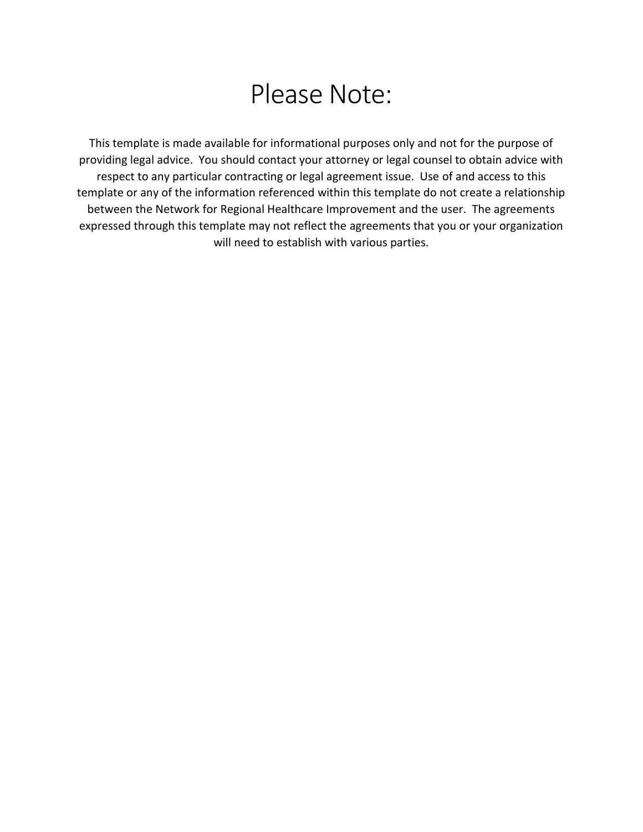# Please Note:

This template is made available for informational purposes only and not for the purpose of providing legal advice. You should contact your attorney or legal counsel to obtain advice with respect to any particular contracting or legal agreement issue. Use of and access to this template or any of the information referenced within this template do not create a relationship between the Network for Regional Healthcare Improvement and the user. The agreements expressed through this template may not reflect the agreements that you or your organization will need to establish with various parties.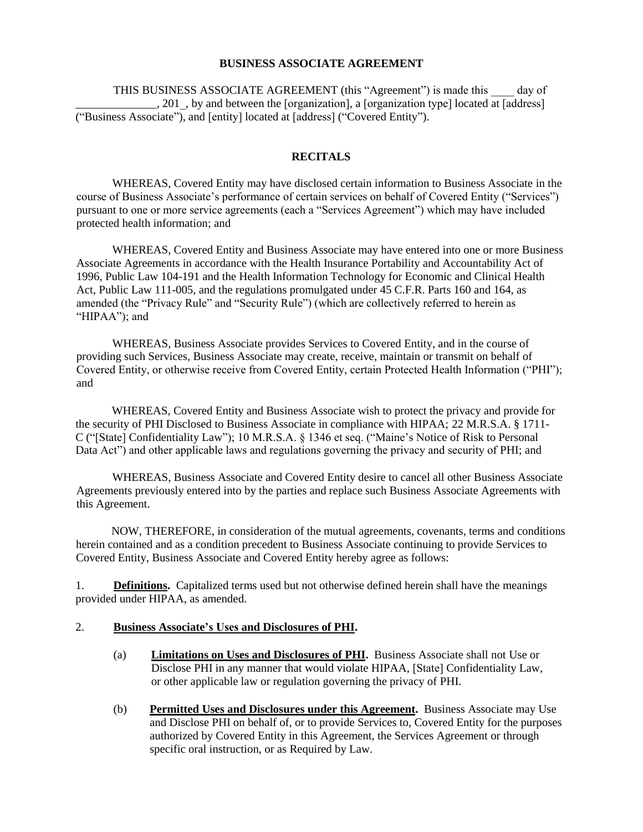## **BUSINESS ASSOCIATE AGREEMENT**

THIS BUSINESS ASSOCIATE AGREEMENT (this "Agreement") is made this \_\_\_\_ day of q. 201, by and between the [organization], a [organization type] located at [address] ("Business Associate"), and [entity] located at [address] ("Covered Entity").

## **RECITALS**

WHEREAS, Covered Entity may have disclosed certain information to Business Associate in the course of Business Associate's performance of certain services on behalf of Covered Entity ("Services") pursuant to one or more service agreements (each a "Services Agreement") which may have included protected health information; and

WHEREAS, Covered Entity and Business Associate may have entered into one or more Business Associate Agreements in accordance with the Health Insurance Portability and Accountability Act of 1996, Public Law 104-191 and the Health Information Technology for Economic and Clinical Health Act, Public Law 111-005, and the regulations promulgated under 45 C.F.R. Parts 160 and 164, as amended (the "Privacy Rule" and "Security Rule") (which are collectively referred to herein as "HIPAA"); and

WHEREAS, Business Associate provides Services to Covered Entity, and in the course of providing such Services, Business Associate may create, receive, maintain or transmit on behalf of Covered Entity, or otherwise receive from Covered Entity, certain Protected Health Information ("PHI"); and

WHEREAS, Covered Entity and Business Associate wish to protect the privacy and provide for the security of PHI Disclosed to Business Associate in compliance with HIPAA; 22 M.R.S.A. § 1711- C ("[State] Confidentiality Law"); 10 M.R.S.A. § 1346 et seq. ("Maine's Notice of Risk to Personal Data Act") and other applicable laws and regulations governing the privacy and security of PHI; and

WHEREAS, Business Associate and Covered Entity desire to cancel all other Business Associate Agreements previously entered into by the parties and replace such Business Associate Agreements with this Agreement.

NOW, THEREFORE, in consideration of the mutual agreements, covenants, terms and conditions herein contained and as a condition precedent to Business Associate continuing to provide Services to Covered Entity, Business Associate and Covered Entity hereby agree as follows:

1. **Definitions.** Capitalized terms used but not otherwise defined herein shall have the meanings provided under HIPAA, as amended.

## 2. **Business Associate's Uses and Disclosures of PHI.**

- (a) **Limitations on Uses and Disclosures of PHI.** Business Associate shall not Use or Disclose PHI in any manner that would violate HIPAA, [State] Confidentiality Law, or other applicable law or regulation governing the privacy of PHI.
- (b) **Permitted Uses and Disclosures under this Agreement.** Business Associate may Use and Disclose PHI on behalf of, or to provide Services to, Covered Entity for the purposes authorized by Covered Entity in this Agreement, the Services Agreement or through specific oral instruction, or as Required by Law.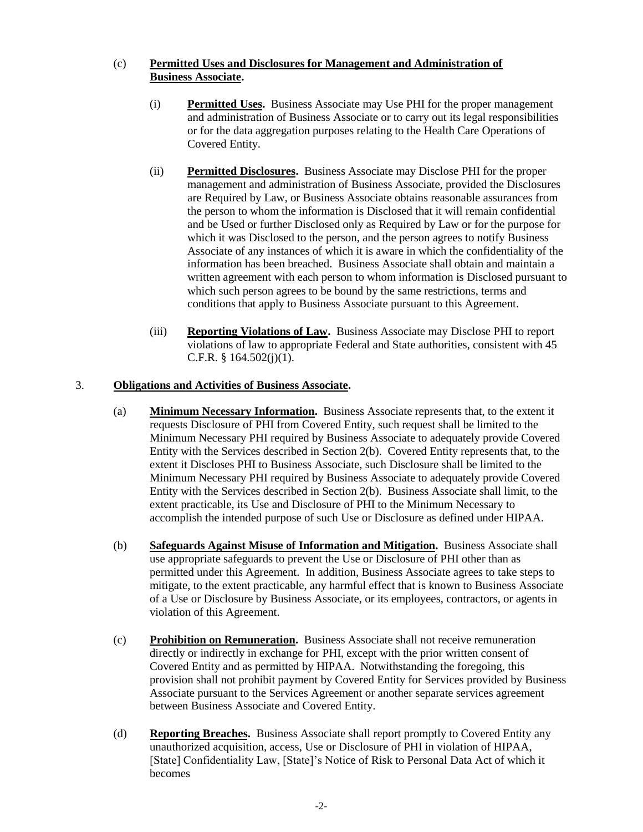## (c) **Permitted Uses and Disclosures for Management and Administration of Business Associate.**

- (i) **Permitted Uses.** Business Associate may Use PHI for the proper management and administration of Business Associate or to carry out its legal responsibilities or for the data aggregation purposes relating to the Health Care Operations of Covered Entity.
- (ii) **Permitted Disclosures.** Business Associate may Disclose PHI for the proper management and administration of Business Associate, provided the Disclosures are Required by Law, or Business Associate obtains reasonable assurances from the person to whom the information is Disclosed that it will remain confidential and be Used or further Disclosed only as Required by Law or for the purpose for which it was Disclosed to the person, and the person agrees to notify Business Associate of any instances of which it is aware in which the confidentiality of the information has been breached. Business Associate shall obtain and maintain a written agreement with each person to whom information is Disclosed pursuant to which such person agrees to be bound by the same restrictions, terms and conditions that apply to Business Associate pursuant to this Agreement.
- (iii) **Reporting Violations of Law.** Business Associate may Disclose PHI to report violations of law to appropriate Federal and State authorities, consistent with 45 C.F.R. §  $164.502(i)(1)$ .

## 3. **Obligations and Activities of Business Associate.**

- (a) **Minimum Necessary Information.** Business Associate represents that, to the extent it requests Disclosure of PHI from Covered Entity, such request shall be limited to the Minimum Necessary PHI required by Business Associate to adequately provide Covered Entity with the Services described in Section 2(b). Covered Entity represents that, to the extent it Discloses PHI to Business Associate, such Disclosure shall be limited to the Minimum Necessary PHI required by Business Associate to adequately provide Covered Entity with the Services described in Section 2(b). Business Associate shall limit, to the extent practicable, its Use and Disclosure of PHI to the Minimum Necessary to accomplish the intended purpose of such Use or Disclosure as defined under HIPAA.
- (b) **Safeguards Against Misuse of Information and Mitigation.** Business Associate shall use appropriate safeguards to prevent the Use or Disclosure of PHI other than as permitted under this Agreement. In addition, Business Associate agrees to take steps to mitigate, to the extent practicable, any harmful effect that is known to Business Associate of a Use or Disclosure by Business Associate, or its employees, contractors, or agents in violation of this Agreement.
- (c) **Prohibition on Remuneration.** Business Associate shall not receive remuneration directly or indirectly in exchange for PHI, except with the prior written consent of Covered Entity and as permitted by HIPAA. Notwithstanding the foregoing, this provision shall not prohibit payment by Covered Entity for Services provided by Business Associate pursuant to the Services Agreement or another separate services agreement between Business Associate and Covered Entity.
- (d) **Reporting Breaches.** Business Associate shall report promptly to Covered Entity any unauthorized acquisition, access, Use or Disclosure of PHI in violation of HIPAA, [State] Confidentiality Law, [State]'s Notice of Risk to Personal Data Act of which it becomes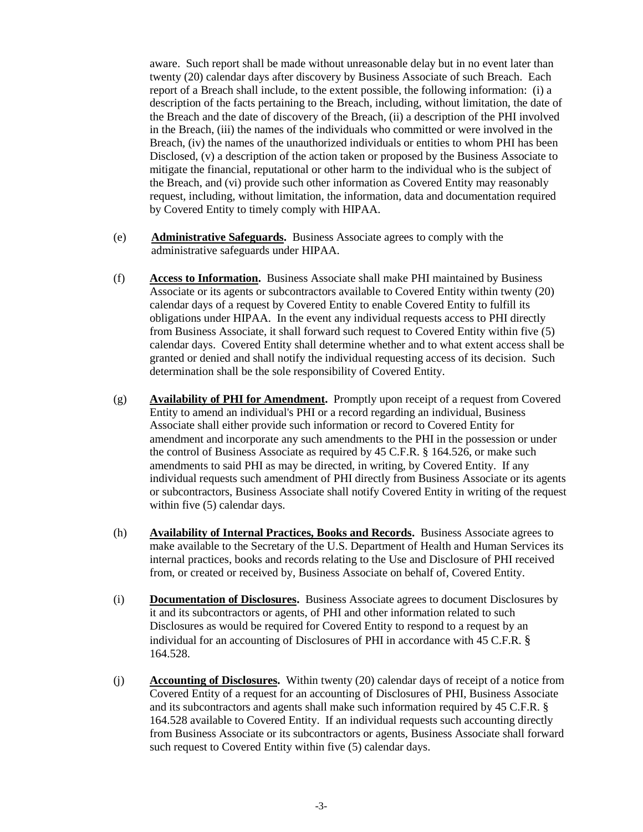aware. Such report shall be made without unreasonable delay but in no event later than twenty (20) calendar days after discovery by Business Associate of such Breach. Each report of a Breach shall include, to the extent possible, the following information: (i) a description of the facts pertaining to the Breach, including, without limitation, the date of the Breach and the date of discovery of the Breach, (ii) a description of the PHI involved in the Breach, (iii) the names of the individuals who committed or were involved in the Breach, (iv) the names of the unauthorized individuals or entities to whom PHI has been Disclosed, (v) a description of the action taken or proposed by the Business Associate to mitigate the financial, reputational or other harm to the individual who is the subject of the Breach, and (vi) provide such other information as Covered Entity may reasonably request, including, without limitation, the information, data and documentation required by Covered Entity to timely comply with HIPAA.

- (e) **Administrative Safeguards.** Business Associate agrees to comply with the administrative safeguards under HIPAA.
- (f) **Access to Information.** Business Associate shall make PHI maintained by Business Associate or its agents or subcontractors available to Covered Entity within twenty (20) calendar days of a request by Covered Entity to enable Covered Entity to fulfill its obligations under HIPAA. In the event any individual requests access to PHI directly from Business Associate, it shall forward such request to Covered Entity within five (5) calendar days. Covered Entity shall determine whether and to what extent access shall be granted or denied and shall notify the individual requesting access of its decision. Such determination shall be the sole responsibility of Covered Entity.
- (g) **Availability of PHI for Amendment.** Promptly upon receipt of a request from Covered Entity to amend an individual's PHI or a record regarding an individual, Business Associate shall either provide such information or record to Covered Entity for amendment and incorporate any such amendments to the PHI in the possession or under the control of Business Associate as required by 45 C.F.R. § 164.526, or make such amendments to said PHI as may be directed, in writing, by Covered Entity. If any individual requests such amendment of PHI directly from Business Associate or its agents or subcontractors, Business Associate shall notify Covered Entity in writing of the request within five (5) calendar days.
- (h) **Availability of Internal Practices, Books and Records.** Business Associate agrees to make available to the Secretary of the U.S. Department of Health and Human Services its internal practices, books and records relating to the Use and Disclosure of PHI received from, or created or received by, Business Associate on behalf of, Covered Entity.
- (i) **Documentation of Disclosures.** Business Associate agrees to document Disclosures by it and its subcontractors or agents, of PHI and other information related to such Disclosures as would be required for Covered Entity to respond to a request by an individual for an accounting of Disclosures of PHI in accordance with 45 C.F.R. § 164.528.
- (j) **Accounting of Disclosures.** Within twenty (20) calendar days of receipt of a notice from Covered Entity of a request for an accounting of Disclosures of PHI, Business Associate and its subcontractors and agents shall make such information required by 45 C.F.R. § 164.528 available to Covered Entity. If an individual requests such accounting directly from Business Associate or its subcontractors or agents, Business Associate shall forward such request to Covered Entity within five (5) calendar days.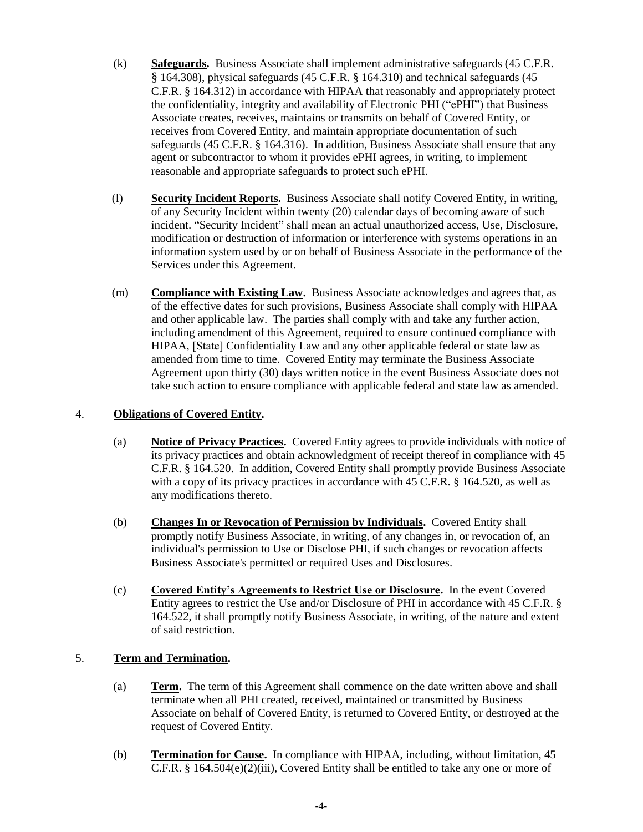- (k) **Safeguards.** Business Associate shall implement administrative safeguards (45 C.F.R. § 164.308), physical safeguards (45 C.F.R. § 164.310) and technical safeguards (45 C.F.R. § 164.312) in accordance with HIPAA that reasonably and appropriately protect the confidentiality, integrity and availability of Electronic PHI ("ePHI") that Business Associate creates, receives, maintains or transmits on behalf of Covered Entity, or receives from Covered Entity, and maintain appropriate documentation of such safeguards (45 C.F.R. § 164.316). In addition, Business Associate shall ensure that any agent or subcontractor to whom it provides ePHI agrees, in writing, to implement reasonable and appropriate safeguards to protect such ePHI.
- (l) **Security Incident Reports.** Business Associate shall notify Covered Entity, in writing, of any Security Incident within twenty (20) calendar days of becoming aware of such incident. "Security Incident" shall mean an actual unauthorized access, Use, Disclosure, modification or destruction of information or interference with systems operations in an information system used by or on behalf of Business Associate in the performance of the Services under this Agreement.
- (m) **Compliance with Existing Law.** Business Associate acknowledges and agrees that, as of the effective dates for such provisions, Business Associate shall comply with HIPAA and other applicable law. The parties shall comply with and take any further action, including amendment of this Agreement, required to ensure continued compliance with HIPAA, [State] Confidentiality Law and any other applicable federal or state law as amended from time to time. Covered Entity may terminate the Business Associate Agreement upon thirty (30) days written notice in the event Business Associate does not take such action to ensure compliance with applicable federal and state law as amended.

# 4. **Obligations of Covered Entity.**

- (a) **Notice of Privacy Practices.** Covered Entity agrees to provide individuals with notice of its privacy practices and obtain acknowledgment of receipt thereof in compliance with 45 C.F.R. § 164.520. In addition, Covered Entity shall promptly provide Business Associate with a copy of its privacy practices in accordance with 45 C.F.R. § 164.520, as well as any modifications thereto.
- (b) **Changes In or Revocation of Permission by Individuals.** Covered Entity shall promptly notify Business Associate, in writing, of any changes in, or revocation of, an individual's permission to Use or Disclose PHI, if such changes or revocation affects Business Associate's permitted or required Uses and Disclosures.
- (c) **Covered Entity's Agreements to Restrict Use or Disclosure.** In the event Covered Entity agrees to restrict the Use and/or Disclosure of PHI in accordance with 45 C.F.R. § 164.522, it shall promptly notify Business Associate, in writing, of the nature and extent of said restriction.

## 5. **Term and Termination.**

- (a) **Term.** The term of this Agreement shall commence on the date written above and shall terminate when all PHI created, received, maintained or transmitted by Business Associate on behalf of Covered Entity, is returned to Covered Entity, or destroyed at the request of Covered Entity.
- (b) **Termination for Cause.** In compliance with HIPAA, including, without limitation, 45 C.F.R. § 164.504(e)(2)(iii), Covered Entity shall be entitled to take any one or more of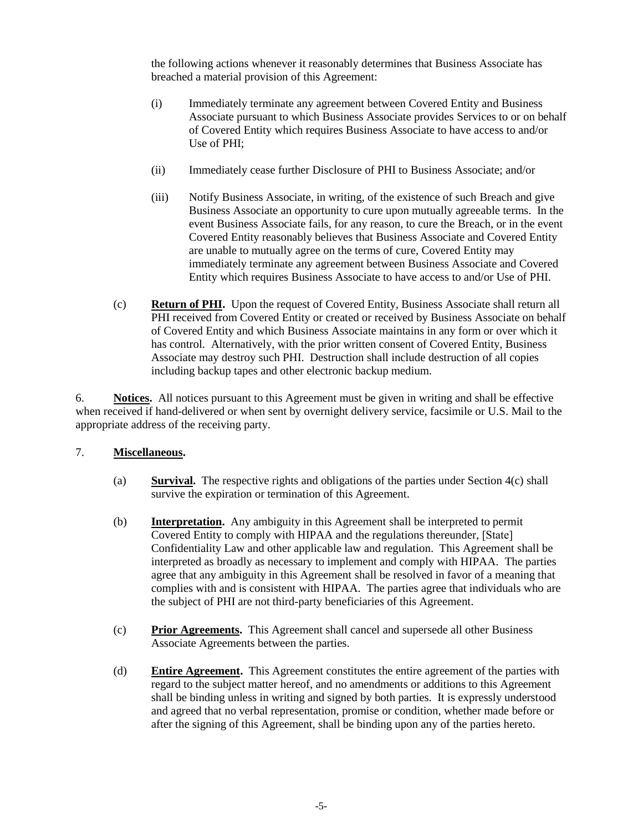the following actions whenever it reasonably determines that Business Associate has breached a material provision of this Agreement:

- (i) Immediately terminate any agreement between Covered Entity and Business Associate pursuant to which Business Associate provides Services to or on behalf of Covered Entity which requires Business Associate to have access to and/or Use of PHI;
- (ii) Immediately cease further Disclosure of PHI to Business Associate; and/or
- (iii) Notify Business Associate, in writing, of the existence of such Breach and give Business Associate an opportunity to cure upon mutually agreeable terms. In the event Business Associate fails, for any reason, to cure the Breach, or in the event Covered Entity reasonably believes that Business Associate and Covered Entity are unable to mutually agree on the terms of cure, Covered Entity may immediately terminate any agreement between Business Associate and Covered Entity which requires Business Associate to have access to and/or Use of PHI.
- (c) **Return of PHI.** Upon the request of Covered Entity, Business Associate shall return all PHI received from Covered Entity or created or received by Business Associate on behalf of Covered Entity and which Business Associate maintains in any form or over which it has control. Alternatively, with the prior written consent of Covered Entity, Business Associate may destroy such PHI. Destruction shall include destruction of all copies including backup tapes and other electronic backup medium.

6. **Notices.** All notices pursuant to this Agreement must be given in writing and shall be effective when received if hand-delivered or when sent by overnight delivery service, facsimile or U.S. Mail to the appropriate address of the receiving party.

## 7. **Miscellaneous.**

- (a) **Survival.** The respective rights and obligations of the parties under Section 4(c) shall survive the expiration or termination of this Agreement.
- (b) **Interpretation.** Any ambiguity in this Agreement shall be interpreted to permit Covered Entity to comply with HIPAA and the regulations thereunder, [State] Confidentiality Law and other applicable law and regulation. This Agreement shall be interpreted as broadly as necessary to implement and comply with HIPAA. The parties agree that any ambiguity in this Agreement shall be resolved in favor of a meaning that complies with and is consistent with HIPAA. The parties agree that individuals who are the subject of PHI are not third-party beneficiaries of this Agreement.
- (c) **Prior Agreements.** This Agreement shall cancel and supersede all other Business Associate Agreements between the parties.
- (d) **Entire Agreement.** This Agreement constitutes the entire agreement of the parties with regard to the subject matter hereof, and no amendments or additions to this Agreement shall be binding unless in writing and signed by both parties. It is expressly understood and agreed that no verbal representation, promise or condition, whether made before or after the signing of this Agreement, shall be binding upon any of the parties hereto.